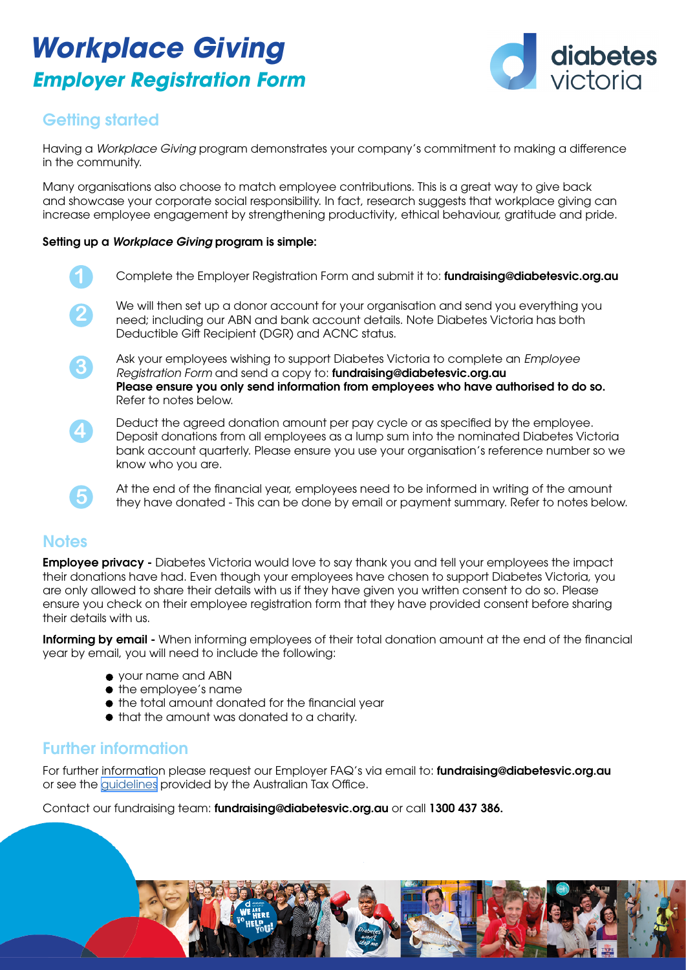## *Workplace Giving Employer Registration Form*



## Getting started

Having a *Workplace Giving* program demonstrates your company's commitment to making a difference in the community.

Many organisations also choose to match employee contributions. This is a great way to give back and showcase your corporate social responsibility. In fact, research suggests that workplace giving can increase employee engagement by strengthening productivity, ethical behaviour, gratitude and pride.

#### Setting up a *Workplace Giving* program is simple:

- Complete the Employer Registration Form and submit it to: fundraising@diabetesvic.org.au
	- We will then set up a donor account for your organisation and send you everything you need; including our ABN and bank account details. Note Diabetes Victoria has both Deductible Gift Recipient (DGR) and ACNC status.

Ask your employees wishing to support Diabetes Victoria to complete an *Employee Registration Form* and send a copy to: fundraising@diabetesvic.org.au Please ensure you only send information from employees who have authorised to do so. Refer to notes below.

**4**

**5**

**2**

**3**

Deduct the agreed donation amount per pay cycle or as specified by the employee. Deposit donations from all employees as a lump sum into the nominated Diabetes Victoria bank account quarterly. Please ensure you use your organisation's reference number so we know who you are.

At the end of the financial year, employees need to be informed in writing of the amount they have donated - This can be done by email or payment summary. Refer to notes below.

### **Notes**

**Employee privacy -** Diabetes Victoria would love to say thank you and tell your employees the impact their donations have had. Even though your employees have chosen to support Diabetes Victoria, you are only allowed to share their details with us if they have given you written consent to do so. Please ensure you check on their employee registration form that they have provided consent before sharing their details with us.

Informing by email - When informing employees of their total donation amount at the end of the financial year by email, you will need to include the following:

- $\bullet$  your name and ABN
- $\bullet$  the employee's name
- $\bullet$  the total amount donated for the financial year
- $\bullet$  that the amount was donated to a charity.

### Further information

For further information please request our Employer FAQ's via email to: fundraising@diabetesvic.org.au or see the [guidelines](http://ato.gov.au/Business/PAYG-withholding/In-detail/Workplace-giving-programs/) provided by the Australian Tax Office.

Contact our fundraising team: **fundraising@diabetesvic.org.au** or call 1300 437 386.